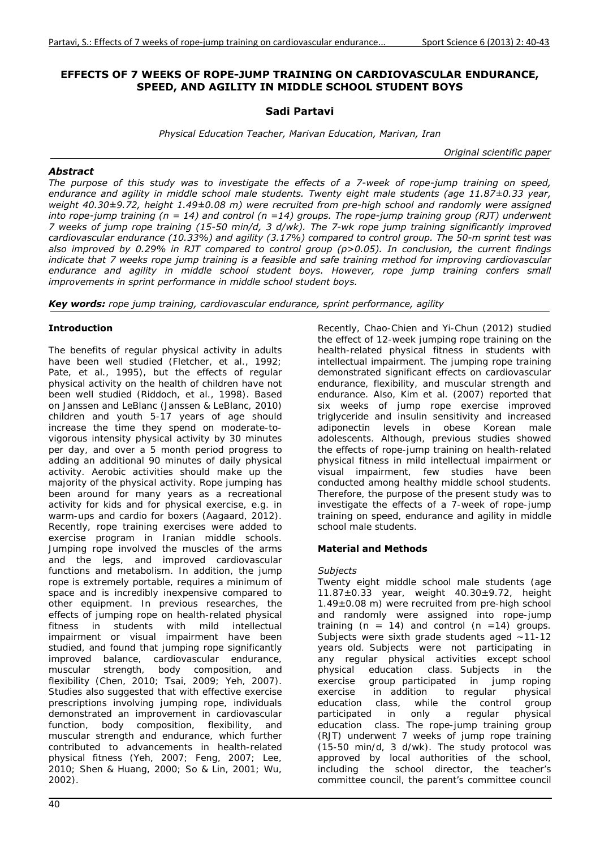## **EFFECTS OF 7 WEEKS OF ROPE-JUMP TRAINING ON CARDIOVASCULAR ENDURANCE, SPEED, AND AGILITY IN MIDDLE SCHOOL STUDENT BOYS**

## **Sadi Partavi**

*Physical Education Teacher, Marivan Education, Marivan, Iran* 

*Original scientific paper* 

### *Abstract*

*The purpose of this study was to investigate the effects of a 7-week of rope-jump training on speed, endurance and agility in middle school male students. Twenty eight male students (age 11.87±0.33 year, weight 40.30±9.72, height 1.49±0.08 m) were recruited from pre-high school and randomly were assigned into rope-jump training (n = 14) and control (n =14) groups. The rope-jump training group (RJT) underwent 7 weeks of jump rope training (15-50 min/d, 3 d/wk). The 7-wk rope jump training significantly improved cardiovascular endurance (10.33%) and agility (3.17%) compared to control group. The 50-m sprint test was also improved by 0.29% in RJT compared to control group (p>0.05). In conclusion, the current findings indicate that 7 weeks rope jump training is a feasible and safe training method for improving cardiovascular endurance and agility in middle school student boys. However, rope jump training confers small improvements in sprint performance in middle school student boys.* 

*Key words: rope jump training, cardiovascular endurance, sprint performance, agility* 

## **Introduction**

The benefits of regular physical activity in adults have been well studied (Fletcher, et al., 1992; Pate, et al., 1995), but the effects of regular physical activity on the health of children have not been well studied (Riddoch, et al., 1998). Based on Janssen and LeBlanc (Janssen & LeBlanc, 2010) children and youth 5-17 years of age should increase the time they spend on moderate-tovigorous intensity physical activity by 30 minutes per day, and over a 5 month period progress to adding an additional 90 minutes of daily physical activity. Aerobic activities should make up the majority of the physical activity. Rope jumping has been around for many years as a recreational activity for kids and for physical exercise, e.g. in warm-ups and cardio for boxers (Aagaard, 2012). Recently, rope training exercises were added to exercise program in Iranian middle schools. Jumping rope involved the muscles of the arms and the legs, and improved cardiovascular functions and metabolism. In addition, the jump rope is extremely portable, requires a minimum of space and is incredibly inexpensive compared to other equipment. In previous researches, the effects of jumping rope on health-related physical fitness in students with mild intellectual impairment or visual impairment have been studied, and found that jumping rope significantly improved balance, cardiovascular endurance, muscular strength, body composition, and flexibility (Chen, 2010; Tsai, 2009; Yeh, 2007). Studies also suggested that with effective exercise prescriptions involving jumping rope, individuals demonstrated an improvement in cardiovascular function, body composition, flexibility, and muscular strength and endurance, which further contributed to advancements in health-related physical fitness (Yeh, 2007; Feng, 2007; Lee, 2010; Shen & Huang, 2000; So & Lin, 2001; Wu, 2002).

the effect of 12-week jumping rope training on the health-related physical fitness in students with intellectual impairment. The jumping rope training demonstrated significant effects on cardiovascular endurance, flexibility, and muscular strength and endurance. Also, Kim et al. (2007) reported that six weeks of jump rope exercise improved triglyceride and insulin sensitivity and increased adiponectin levels in obese Korean male adolescents. Although, previous studies showed the effects of rope-jump training on health-related physical fitness in mild intellectual impairment or visual impairment, few studies have been conducted among healthy middle school students. Therefore, the purpose of the present study was to investigate the effects of a 7-week of rope-jump training on speed, endurance and agility in middle school male students. **Material and Methods** 

Recently, Chao-Chien and Yi-Chun (2012) studied

# *Subjects*

Twenty eight middle school male students (age  $11.87 \pm 0.33$  year, weight  $40.30 \pm 9.72$ , height  $1.49\pm0.08$  m) were recruited from pre-high school and randomly were assigned into rope-jump training ( $n = 14$ ) and control ( $n = 14$ ) groups. Subjects were sixth grade students aged ~11-12 years old. Subjects were not participating in any regular physical activities except school physical education class. Subjects in the exercise group-participated in jump-roping<br>exercise in addition to reqular physical exercise in addition to regular education class, while the control group participated in only a regular physical education class. The rope-jump training group (RJT) underwent 7 weeks of jump rope training (15-50 min/d, 3 d/wk). The study protocol was approved by local authorities of the school, including the school director, the teacher's committee council, the parent's committee council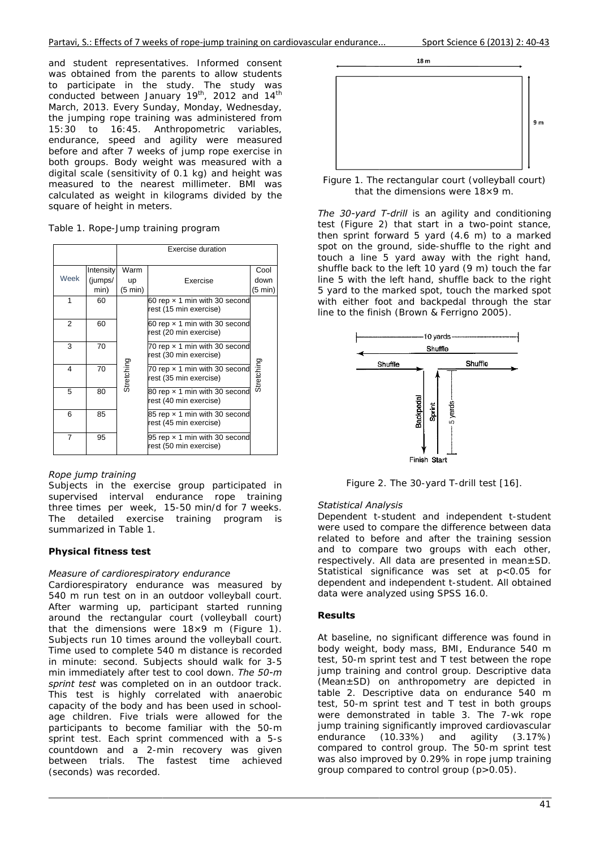and student representatives. Informed consent was obtained from the parents to allow students to co M the jumping rope training was administered from 15:30 to 16:45. Anthropometric variables, endurance, speed and agility were measured before and after 7 weeks of jump rope exercise in both groups. Body weight was measured with a digital scale (sensitivity of 0.1 kg) and height was measured to the nearest millimeter. BMI was calculated as weight in kilograms divided by the square of height in meters. o participat onducted be March, 2013. te in the etween Janu Every Sund study. The uary 19<sup>th</sup>, 2 day, Monday e study w 2012 and 14 y, Wednesda was  $4<sup>th</sup>$ ay,

| Table 1. Rope-Jump training program |  |
|-------------------------------------|--|
|                                     |  |

|      |                      | Exercise duration |                                                                |              |  |  |
|------|----------------------|-------------------|----------------------------------------------------------------|--------------|--|--|
| Week | Intensity<br>(jumps/ | Warm<br>up        | Exercise                                                       | Cool<br>down |  |  |
|      | min)                 | $(5 \text{ min})$ |                                                                | (5 min)      |  |  |
| 1    | 60                   |                   | 60 rep $\times$ 1 min with 30 second<br>rest (15 min exercise) |              |  |  |
| 2    | 60                   |                   | 60 rep $\times$ 1 min with 30 second<br>rest (20 min exercise) |              |  |  |
| 3    | 70                   |                   | 70 rep $\times$ 1 min with 30 second<br>rest (30 min exercise) |              |  |  |
| 4    | 70                   | Stretching        | 70 rep $\times$ 1 min with 30 second<br>rest (35 min exercise) | Stretching   |  |  |
| 5    | 80                   |                   | 80 rep x 1 min with 30 second<br>rest (40 min exercise)        |              |  |  |
| 6    | 85                   |                   | 85 rep x 1 min with 30 second<br>rest (45 min exercise)        |              |  |  |
| 7    | 95                   |                   | 95 rep x 1 min with 30 second<br>rest (50 min exercise)        |              |  |  |

### *R Rope jump tr raining*

Subjects in the exercise group participated in supervised interval endurance rope training three times per week, 15-50 min/d for 7 weeks. The detailed exercise training program is su ummarized i in Table 1.

# **Physical fitness test**

### *Measure of cardiorespiratory endurance*

Cardiorespiratory endurance was measured by 540 m run test on in an outdoor volleyball court. After warming up, participant started running around the rectangular court (volleyball court) that the dimensions were  $18\times9$  m (Figure 1). Subjects run 10 times around the volleyball court. Time used to complete 540 m distance is recorded in minute: second. Subjects should walk for 3-5 min immediately after test to cool down. The 50-m sprint test was completed on in an outdoor track. This test is highly correlated with anaerobic capacity of the body and has been used in schoolage children. Five trials were allowed for the participants to become familiar with the 50-m sprint test. Each sprint commenced with a 5-s countdown and a 2-min recovery was given between trials. The fastest time achieved (s seconds) wa as recorded.



Figure 1. The rectangular court (volleyball court) that the dimensions were  $18\times9$  m.

The 30-yard T-drill is an agility and conditioning test (Figure 2) that start in a two-point stance, then sprint forward  $5$  yard  $(4.6 \text{ m})$  to a marked spot on the ground, side-shuffle to the right and touch a line 5 yard away with the right hand, shuffle back to the left 10 yard (9 m) touch the far line 5 with the left hand, shuffle back to the right 5 yard to the marked spot, touch the marked spot with either foot and backpedal through the star line to the finish (Brown & Ferrigno 2005).



Figure 2. The 30-yard T-drill test [16].

### *<i>Statistical Analysis*

Dependent t-student and independent t-student were used to compare the difference between data related to before and after the training session and to compare two groups with each other, respectively. All data are presented in mean±SD. Statistical significance was set at p<0.05 for dependent and independent t-student. All obtained data were analyzed using SPSS 16.0.

### **R esults**

At baseline, no significant difference was found in body weight, body mass, BMI, Endurance 540 m test, 50-m sprint test and T test between the rope jump training and control group. Descriptive data (Mean±SD) on anthropometry are depicted in table 2. Descriptive data on endurance 540 m test, 50-m sprint test and T test in both groups were demonstrated in table 3. The 7-wk rope jump training significantly improved cardiovascular endurance compared to control group. The 50-m sprint test was also improved by 0.29% in rope jump training group compared to control group  $(p > 0.05)$ . (10.33%) and agili ity (3.17% %)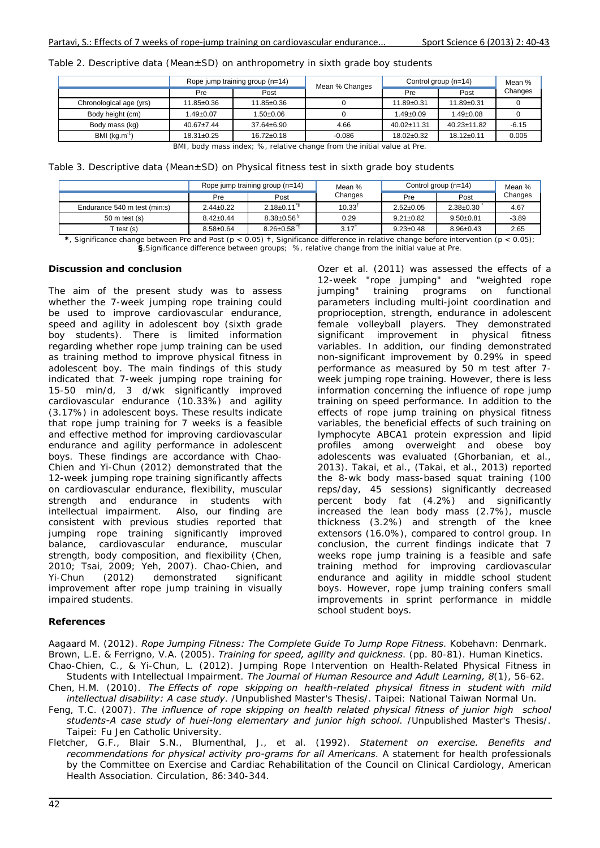| Table 2. Descriptive data (Mean $\pm$ SD) on anthropometry in sixth grade boy students |  |
|----------------------------------------------------------------------------------------|--|
|----------------------------------------------------------------------------------------|--|

| Rope jump training group (n=14) |                  |          | Control group (n=14) |                   | Mean %  |
|---------------------------------|------------------|----------|----------------------|-------------------|---------|
| Pre                             | Post             |          | Pre                  | Post              | Changes |
| 11.85±0.36                      | $11.85 \pm 0.36$ |          | $11.89 + 0.31$       | $11.89 \pm 0.31$  |         |
| $1.49 \pm 0.07$                 | $.50 \pm 0.06$   |          | $1.49 \pm 0.09$      | $1.49 \pm 0.08$   |         |
| $40.67 \pm 7.44$                | $37.64 \pm 6.90$ | 4.66     | $40.02 \pm 11.31$    | $40.23 \pm 11.82$ | $-6.15$ |
| $18.31 \pm 0.25$                | $16.72 \pm 0.18$ | $-0.086$ | $18.02 + 0.32$       | $18.12 \pm 0.11$  | 0.005   |
|                                 |                  |          | Mean % Changes       |                   |         |

BMI, body mass index; %, relative change from the initial value at Pre.

Table 3. Descriptive data (Mean±SD) on Physical fitness test in sixth grade boy students

|                              | Rope jump training group (n=14) |                               | Mean %            | Control group $(n=14)$ |                 | Mean %  |
|------------------------------|---------------------------------|-------------------------------|-------------------|------------------------|-----------------|---------|
|                              | Pre                             | Post                          | Changes<br>Pre    | Post                   | Changes         |         |
| Endurance 540 m test (min:s) | $2.44 \pm 0.22$                 | $2.18 \pm 0.11^{\frac{5}{3}}$ | $10.33^{\dagger}$ | $2.52 \pm 0.05$        | $2.38 + 0.30$   | 4.67    |
| $50$ m test (s)              | $8.42 \pm 0.44$                 | $8.38 \pm 0.56$ <sup>\$</sup> | 0.29              | $9.21 \pm 0.82$        | $9.50+0.81$     | $-3.89$ |
| test (s)                     | $8.58 + 0.64$                   | $8.26 \pm 0.58$ <sup>3</sup>  | 3.17 <sup>1</sup> | $9.23 \pm 0.48$        | $8.96 \pm 0.43$ | 2.65    |

**\***, Significance change between Pre and Post (p < 0.05) **†**, Significance difference in relative change before intervention (p < 0.05); **§**,Significance difference between groups; %, relative change from the initial value at Pre.

### **Discussion and conclusion**

The aim of the present study was to assess whether the 7-week jumping rope training could be used to improve cardiovascular endurance, speed and agility in adolescent boy (sixth grade boy students). There is limited information regarding whether rope jump training can be used as training method to improve physical fitness in adolescent boy. The main findings of this study indicated that 7-week jumping rope training for 15-50 min/d, 3 d/wk significantly improved cardiovascular endurance (10.33%) and agility (3.17%) in adolescent boys. These results indicate that rope jump training for 7 weeks is a feasible and effective method for improving cardiovascular endurance and agility performance in adolescent boys. These findings are accordance with Chao-Chien and Yi-Chun (2012) demonstrated that the 12-week jumping rope training significantly affects on cardiovascular endurance, flexibility, muscular strength and endurance in students with intellectual impairment. Also, our finding are consistent with previous studies reported that jumping rope training significantly improved balance, cardiovascular endurance, muscular strength, body composition, and flexibility (Chen, 2010; Tsai, 2009; Yeh, 2007). Chao-Chien, and Yi-Chun (2012) demonstrated significant improvement after rope jump training in visually impaired students.

Ozer et al. (2011) was assessed the effects of a 12-week "rope jumping" and "weighted rope jumping" training programs on functional parameters including multi-joint coordination and proprioception, strength, endurance in adolescent female volleyball players. They demonstrated significant improvement in physical fitness variables. In addition, our finding demonstrated non-significant improvement by 0.29% in speed performance as measured by 50 m test after 7 week jumping rope training. However, there is less information concerning the influence of rope jump training on speed performance. In addition to the effects of rope jump training on physical fitness variables, the beneficial effects of such training on lymphocyte ABCA1 protein expression and lipid profiles among overweight and obese boy adolescents was evaluated (Ghorbanian, et al., 2013). Takai, et al., (Takai, et al., 2013) reported the 8-wk body mass-based squat training (100 reps/day, 45 sessions) significantly decreased percent body fat (4.2%) and significantly increased the lean body mass (2.7%), muscle thickness (3.2%) and strength of the knee extensors (16.0%), compared to control group. In conclusion, the current findings indicate that 7 weeks rope jump training is a feasible and safe training method for improving cardiovascular endurance and agility in middle school student boys. However, rope jump training confers small improvements in sprint performance in middle school student boys.

### **References**

Aagaard M. (2012). *Rope Jumping Fitness: The Complete Guide To Jump Rope Fitness*. Kobehavn: Denmark. Brown, L.E. & Ferrigno, V.A. (2005). *Training for speed, agility and quickness*. (pp. 80-81). Human Kinetics. Chao-Chien, C., & Yi-Chun, L. (2012). Jumping Rope Intervention on Health-Related Physical Fitness in Students with Intellectual Impairment. *The Journal of Human Resource and Adult Learning, 8*(1), 56-62.

Chen, H.M. (2010). *The Effects of rope skipping on health-related physical fitness in student with mild intellectual disability: A case study*. /Unpublished Master's Thesis/. Taipei: National Taiwan Normal Un.

- Feng, T.C. (2007). *The influence of rope skipping on health related physical fitness of junior high school students-A case study of huei-long elementary and junior high school*. /Unpublished Master's Thesis/. Taipei: Fu Jen Catholic University.
- Fletcher, G.F., Blair S.N., Blumenthal, J., et al. (1992). *Statement on exercise. Benefits and recommendations for physical activity pro-grams for all Americans*. A statement for health professionals by the Committee on Exercise and Cardiac Rehabilitation of the Council on Clinical Cardiology, American Health Association. Circulation, 86:340-344.